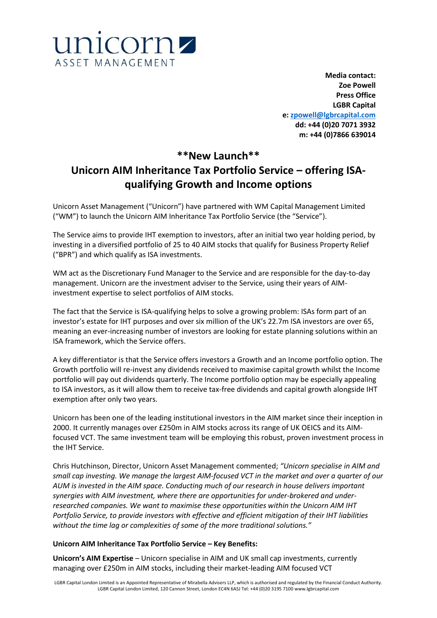

**Media contact: Zoe Powell Press Office LGBR Capital e: [zpowell@lgbrcapital.com](mailto:zpowell@lgbrcapital.com) dd: +44 (0)20 7071 3932 m: +44 (0)7866 639014**

# **\*\*New Launch\*\* Unicorn AIM Inheritance Tax Portfolio Service – offering ISAqualifying Growth and Income options**

Unicorn Asset Management ("Unicorn") have partnered with WM Capital Management Limited ("WM") to launch the Unicorn AIM Inheritance Tax Portfolio Service (the "Service").

The Service aims to provide IHT exemption to investors, after an initial two year holding period, by investing in a diversified portfolio of 25 to 40 AIM stocks that qualify for Business Property Relief ("BPR") and which qualify as ISA investments.

WM act as the Discretionary Fund Manager to the Service and are responsible for the day-to-day management. Unicorn are the investment adviser to the Service, using their years of AIMinvestment expertise to select portfolios of AIM stocks.

The fact that the Service is ISA-qualifying helps to solve a growing problem: ISAs form part of an investor's estate for IHT purposes and over six million of the UK's 22.7m ISA investors are over 65, meaning an ever-increasing number of investors are looking for estate planning solutions within an ISA framework, which the Service offers.

A key differentiator is that the Service offers investors a Growth and an Income portfolio option. The Growth portfolio will re-invest any dividends received to maximise capital growth whilst the Income portfolio will pay out dividends quarterly. The Income portfolio option may be especially appealing to ISA investors, as it will allow them to receive tax-free dividends and capital growth alongside IHT exemption after only two years.

Unicorn has been one of the leading institutional investors in the AIM market since their inception in 2000. It currently manages over £250m in AIM stocks across its range of UK OEICS and its AIMfocused VCT. The same investment team will be employing this robust, proven investment process in the IHT Service.

Chris Hutchinson, Director, Unicorn Asset Management commented; *"Unicorn specialise in AIM and small cap investing. We manage the largest AIM-focused VCT in the market and over a quarter of our AUM is invested in the AIM space. Conducting much of our research in house delivers important synergies with AIM investment, where there are opportunities for under-brokered and underresearched companies. We want to maximise these opportunities within the Unicorn AIM IHT Portfolio Service, to provide investors with effective and efficient mitigation of their IHT liabilities without the time lag or complexities of some of the more traditional solutions."*

## **Unicorn AIM Inheritance Tax Portfolio Service – Key Benefits:**

**Unicorn's AIM Expertise** – Unicorn specialise in AIM and UK small cap investments, currently managing over £250m in AIM stocks, including their market-leading AIM focused VCT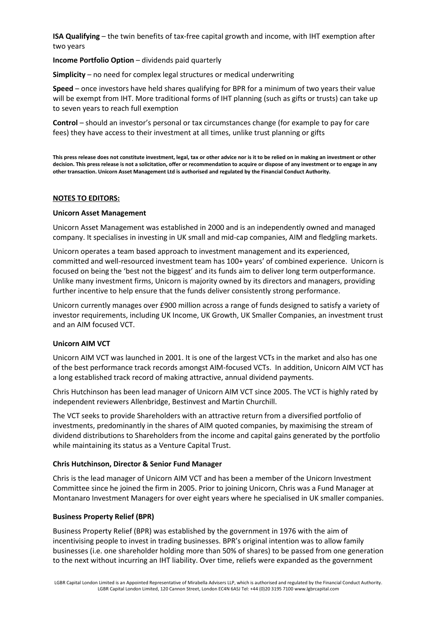**ISA Qualifying** – the twin benefits of tax-free capital growth and income, with IHT exemption after two years

**Income Portfolio Option** – dividends paid quarterly

**Simplicity** – no need for complex legal structures or medical underwriting

**Speed** – once investors have held shares qualifying for BPR for a minimum of two years their value will be exempt from IHT. More traditional forms of IHT planning (such as gifts or trusts) can take up to seven years to reach full exemption

**Control** – should an investor's personal or tax circumstances change (for example to pay for care fees) they have access to their investment at all times, unlike trust planning or gifts

**This press release does not constitute investment, legal, tax or other advice nor is it to be relied on in making an investment or other decision. This press release is not a solicitation, offer or recommendation to acquire or dispose of any investment or to engage in any other transaction. Unicorn Asset Management Ltd is authorised and regulated by the Financial Conduct Authority.**

### **NOTES TO EDITORS:**

#### **Unicorn Asset Management**

Unicorn Asset Management was established in 2000 and is an independently owned and managed company. It specialises in investing in UK small and mid-cap companies, AIM and fledgling markets.

Unicorn operates a team based approach to investment management and its experienced, committed and well-resourced investment team has 100+ years' of combined experience. Unicorn is focused on being the 'best not the biggest' and its funds aim to deliver long term outperformance. Unlike many investment firms, Unicorn is majority owned by its directors and managers, providing further incentive to help ensure that the funds deliver consistently strong performance.

Unicorn currently manages over £900 million across a range of funds designed to satisfy a variety of investor requirements, including UK Income, UK Growth, UK Smaller Companies, an investment trust and an AIM focused VCT.

#### **Unicorn AIM VCT**

Unicorn AIM VCT was launched in 2001. It is one of the largest VCTs in the market and also has one of the best performance track records amongst AIM-focused VCTs. In addition, Unicorn AIM VCT has a long established track record of making attractive, annual dividend payments.

Chris Hutchinson has been lead manager of Unicorn AIM VCT since 2005. The VCT is highly rated by independent reviewers Allenbridge, Bestinvest and Martin Churchill.

The VCT seeks to provide Shareholders with an attractive return from a diversified portfolio of investments, predominantly in the shares of AIM quoted companies, by maximising the stream of dividend distributions to Shareholders from the income and capital gains generated by the portfolio while maintaining its status as a Venture Capital Trust.

#### **Chris Hutchinson, Director & Senior Fund Manager**

Chris is the lead manager of Unicorn AIM VCT and has been a member of the Unicorn Investment Committee since he joined the firm in 2005. Prior to joining Unicorn, Chris was a Fund Manager at Montanaro Investment Managers for over eight years where he specialised in UK smaller companies.

## **Business Property Relief (BPR)**

Business Property Relief (BPR) was established by the government in 1976 with the aim of incentivising people to invest in trading businesses. BPR's original intention was to allow family businesses (i.e. one shareholder holding more than 50% of shares) to be passed from one generation to the next without incurring an IHT liability. Over time, reliefs were expanded as the government